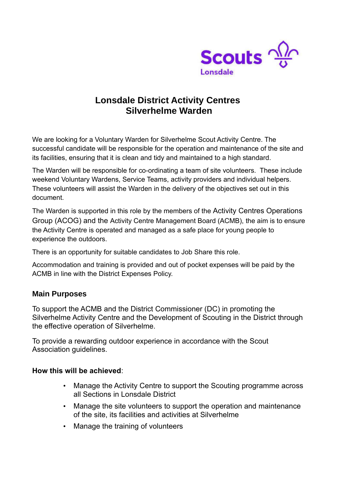

## **Lonsdale District Activity Centres Silverhelme Warden**

We are looking for a Voluntary Warden for Silverhelme Scout Activity Centre. The successful candidate will be responsible for the operation and maintenance of the site and its facilities, ensuring that it is clean and tidy and maintained to a high standard.

The Warden will be responsible for co-ordinating a team of site volunteers. These include weekend Voluntary Wardens, Service Teams, activity providers and individual helpers. These volunteers will assist the Warden in the delivery of the objectives set out in this document.

The Warden is supported in this role by the members of the Activity Centres Operations Group (ACOG) and the Activity Centre Management Board (ACMB), the aim is to ensure the Activity Centre is operated and managed as a safe place for young people to experience the outdoors.

There is an opportunity for suitable candidates to Job Share this role.

Accommodation and training is provided and out of pocket expenses will be paid by the ACMB in line with the District Expenses Policy.

## **Main Purposes**

To support the ACMB and the District Commissioner (DC) in promoting the Silverhelme Activity Centre and the Development of Scouting in the District through the effective operation of Silverhelme.

To provide a rewarding outdoor experience in accordance with the Scout Association guidelines.

## **How this will be achieved**:

- Manage the Activity Centre to support the Scouting programme across all Sections in Lonsdale District
- Manage the site volunteers to support the operation and maintenance of the site, its facilities and activities at Silverhelme
- Manage the training of volunteers